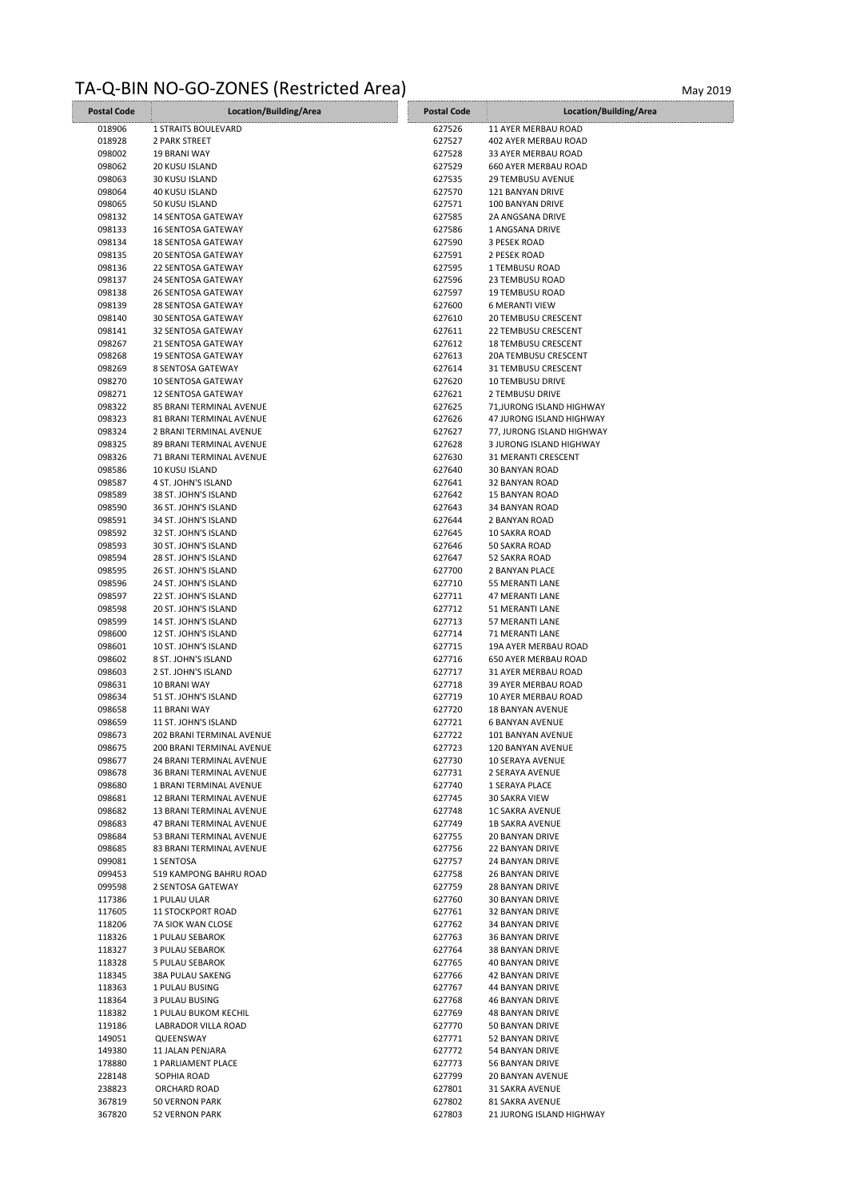## TA-Q-BIN NO-GO-ZONES (Restricted Area) May 2019

| <b>Postal Code</b> | Location/Building/Area     | <b>Postal Code</b> | Location/Building/Area     |
|--------------------|----------------------------|--------------------|----------------------------|
| 018906             | <b>1 STRAITS BOULEVARD</b> | 627526             | 11 AYER MERBAU ROAD        |
| 018928             | 2 PARK STREET              | 627527             | 402 AYER MERBAU ROAD       |
| 098002             | <b>19 BRANI WAY</b>        | 627528             | 33 AYER MERBAU ROAD        |
| 098062             | 20 KUSU ISLAND             | 627529             | 660 AYER MERBAU ROAD       |
| 098063             | 30 KUSU ISLAND             | 627535             | 29 TEMBUSU AVENUE          |
| 098064             | 40 KUSU ISLAND             | 627570             | 121 BANYAN DRIVE           |
| 098065             | 50 KUSU ISLAND             | 627571             | 100 BANYAN DRIVE           |
| 098132             | 14 SENTOSA GATEWAY         | 627585             | 2A ANGSANA DRIVE           |
| 098133             | <b>16 SENTOSA GATEWAY</b>  | 627586             | 1 ANGSANA DRIVE            |
| 098134             | <b>18 SENTOSA GATEWAY</b>  | 627590             | 3 PESEK ROAD               |
| 098135             | <b>20 SENTOSA GATEWAY</b>  | 627591             | 2 PESEK ROAD               |
| 098136             | <b>22 SENTOSA GATEWAY</b>  | 627595             | 1 TEMBUSU ROAD             |
| 098137             | 24 SENTOSA GATEWAY         | 627596             | 23 TEMBUSU ROAD            |
|                    |                            |                    | <b>19 TEMBUSU ROAD</b>     |
| 098138             | <b>26 SENTOSA GATEWAY</b>  | 627597             |                            |
| 098139             | <b>28 SENTOSA GATEWAY</b>  | 627600             | <b>6 MERANTI VIEW</b>      |
| 098140             | 30 SENTOSA GATEWAY         | 627610             | <b>20 TEMBUSU CRESCENT</b> |
| 098141             | 32 SENTOSA GATEWAY         | 627611             | <b>22 TEMBUSU CRESCENT</b> |
| 098267             | 21 SENTOSA GATEWAY         | 627612             | <b>18 TEMBUSU CRESCENT</b> |
| 098268             | <b>19 SENTOSA GATEWAY</b>  | 627613             | 20A TEMBUSU CRESCENT       |
| 098269             | 8 SENTOSA GATEWAY          | 627614             | 31 TEMBUSU CRESCENT        |
| 098270             | <b>10 SENTOSA GATEWAY</b>  | 627620             | <b>10 TEMBUSU DRIVE</b>    |
| 098271             | <b>12 SENTOSA GATEWAY</b>  | 627621             | 2 TEMBUSU DRIVE            |
| 098322             | 85 BRANI TERMINAL AVENUE   | 627625             | 71, JURONG ISLAND HIGHWAY  |
| 098323             | 81 BRANI TERMINAL AVENUE   | 627626             | 47 JURONG ISLAND HIGHWAY   |
| 098324             | 2 BRANI TERMINAL AVENUE    | 627627             | 77, JURONG ISLAND HIGHWAY  |
| 098325             | 89 BRANI TERMINAL AVENUE   | 627628             | 3 JURONG ISLAND HIGHWAY    |
| 098326             | 71 BRANI TERMINAL AVENUE   | 627630             | 31 MERANTI CRESCENT        |
| 098586             | <b>10 KUSU ISLAND</b>      | 627640             | 30 BANYAN ROAD             |
| 098587             | 4 ST. JOHN'S ISLAND        | 627641             | 32 BANYAN ROAD             |
| 098589             | 38 ST. JOHN'S ISLAND       | 627642             | <b>15 BANYAN ROAD</b>      |
| 098590             | 36 ST. JOHN'S ISLAND       | 627643             | 34 BANYAN ROAD             |
| 098591             | 34 ST. JOHN'S ISLAND       | 627644             | 2 BANYAN ROAD              |
| 098592             | 32 ST. JOHN'S ISLAND       | 627645             | 10 SAKRA ROAD              |
| 098593             | 30 ST. JOHN'S ISLAND       | 627646             | 50 SAKRA ROAD              |
| 098594             | 28 ST. JOHN'S ISLAND       | 627647             | 52 SAKRA ROAD              |
| 098595             | 26 ST. JOHN'S ISLAND       | 627700             | 2 BANYAN PLACE             |
| 098596             | 24 ST. JOHN'S ISLAND       | 627710             | 55 MERANTI LANE            |
| 098597             | 22 ST. JOHN'S ISLAND       | 627711             | 47 MERANTI LANE            |
| 098598             | 20 ST. JOHN'S ISLAND       | 627712             | 51 MERANTI LANE            |
| 098599             | 14 ST. JOHN'S ISLAND       | 627713             | 57 MERANTI LANE            |
| 098600             | 12 ST. JOHN'S ISLAND       | 627714             | 71 MERANTI LANE            |
| 098601             | 10 ST. JOHN'S ISLAND       | 627715             | 19A AYER MERBAU ROAD       |
| 098602             | 8 ST. JOHN'S ISLAND        | 627716             | 650 AYER MERBAU ROAD       |
| 098603             | 2 ST. JOHN'S ISLAND        | 627717             | 31 AYER MERBAU ROAD        |
| 098631             | 10 BRANI WAY               | 627718             | 39 AYER MERBAU ROAD        |
| 098634             | 51 ST. JOHN'S ISLAND       | 627719             | 10 AYER MERBAU ROAD        |
| 098658             | 11 BRANI WAY               | 627720             | <b>18 BANYAN AVENUE</b>    |
| 098659             | 11 ST. JOHN'S ISLAND       | 627721             | <b>6 BANYAN AVENUE</b>     |
| 098673             | 202 BRANI TERMINAL AVENUE  | 627722             | 101 BANYAN AVENUE          |
| 098675             | 200 BRANI TERMINAL AVENUE  | 627723             | 120 BANYAN AVENUE          |
| 098677             | 24 BRANI TERMINAL AVENUE   | 627730             | 10 SERAYA AVENUE           |
| 098678             | 36 BRANI TERMINAL AVENUE   | 627731             | 2 SERAYA AVENUE            |
| 098680             | 1 BRANI TERMINAL AVENUE    | 627740             | 1 SERAYA PLACE             |
| 098681             | 12 BRANI TERMINAL AVENUE   | 627745             | 30 SAKRA VIEW              |
| 098682             | 13 BRANI TERMINAL AVENUE   | 627748             | <b>1C SAKRA AVENUE</b>     |
| 098683             | 47 BRANI TERMINAL AVENUE   | 627749             | <b>1B SAKRA AVENUE</b>     |
| 098684             | 53 BRANI TERMINAL AVENUE   | 627755             | <b>20 BANYAN DRIVE</b>     |
| 098685             | 83 BRANI TERMINAL AVENUE   | 627756             | 22 BANYAN DRIVE            |
| 099081             | 1 SENTOSA                  | 627757             | 24 BANYAN DRIVE            |
| 099453             | 519 KAMPONG BAHRU ROAD     | 627758             | <b>26 BANYAN DRIVE</b>     |
| 099598             | 2 SENTOSA GATEWAY          | 627759             | <b>28 BANYAN DRIVE</b>     |
| 117386             | 1 PULAU ULAR               | 627760             | 30 BANYAN DRIVE            |
| 117605             | <b>11 STOCKPORT ROAD</b>   | 627761             | 32 BANYAN DRIVE            |
| 118206             | 7A SIOK WAN CLOSE          | 627762             | 34 BANYAN DRIVE            |
| 118326             | 1 PULAU SEBAROK            | 627763             | 36 BANYAN DRIVE            |
| 118327             | 3 PULAU SEBAROK            | 627764             | 38 BANYAN DRIVE            |
| 118328             | 5 PULAU SEBAROK            | 627765             | 40 BANYAN DRIVE            |
| 118345             | 38A PULAU SAKENG           | 627766             | 42 BANYAN DRIVE            |
| 118363             | 1 PULAU BUSING             | 627767             | 44 BANYAN DRIVE            |
| 118364             | 3 PULAU BUSING             | 627768             | 46 BANYAN DRIVE            |
| 118382             | 1 PULAU BUKOM KECHIL       | 627769             | <b>48 BANYAN DRIVE</b>     |
| 119186             | LABRADOR VILLA ROAD        | 627770             | 50 BANYAN DRIVE            |
| 149051             | QUEENSWAY                  | 627771             | 52 BANYAN DRIVE            |
| 149380             | 11 JALAN PENJARA           | 627772             | 54 BANYAN DRIVE            |
| 178880             | 1 PARLIAMENT PLACE         | 627773             | 56 BANYAN DRIVE            |
| 228148             | SOPHIA ROAD                | 627799             | 20 BANYAN AVENUE           |
| 238823             | ORCHARD ROAD               | 627801             | 31 SAKRA AVENUE            |
| 367819             | 50 VERNON PARK             | 627802             | 81 SAKRA AVENUE            |
| 367820             | 52 VERNON PARK             | 627803             | 21 JURONG ISLAND HIGHWAY   |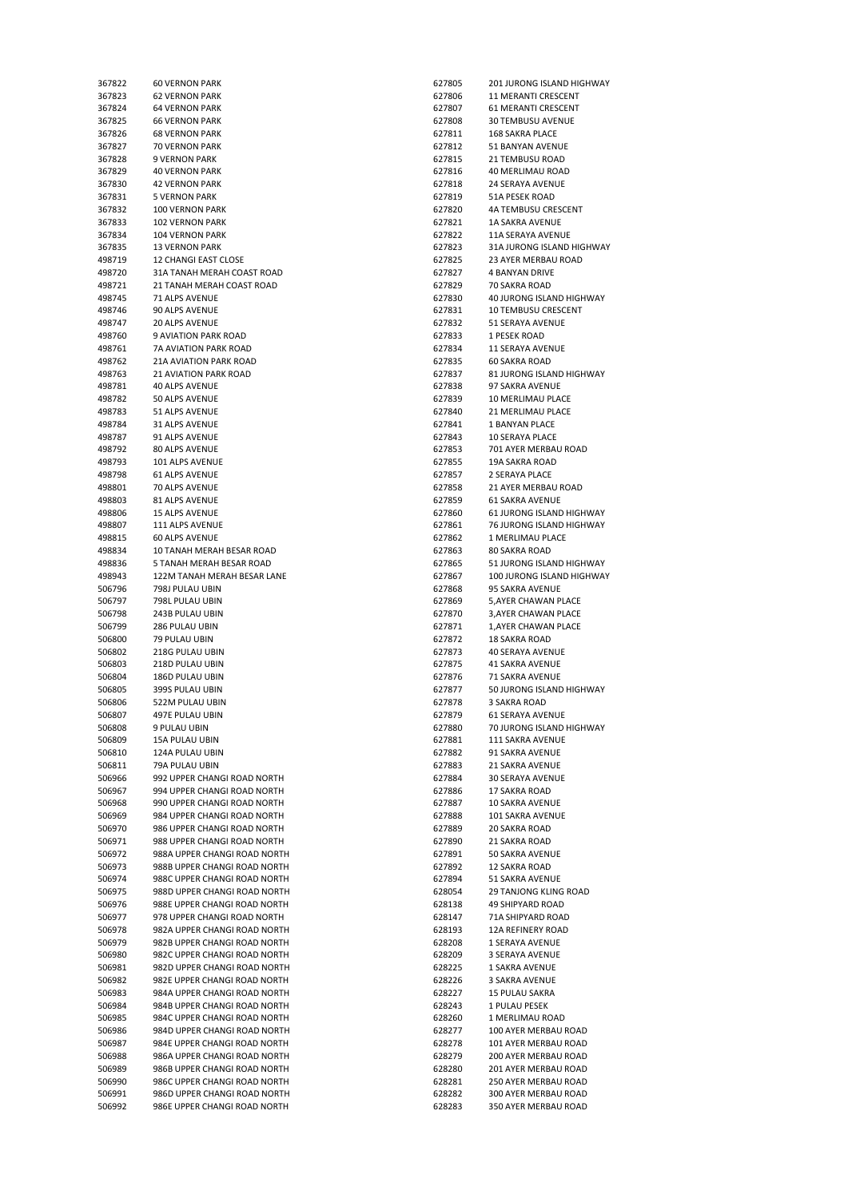| 367823<br>367824<br>367825<br>367826<br>367827 | <b>62 VERNON PARK</b>        |        |                                 |
|------------------------------------------------|------------------------------|--------|---------------------------------|
|                                                |                              | 627806 | 11 MERANTI CRESCENT             |
|                                                | <b>64 VERNON PARK</b>        | 627807 | 61 MERANTI CRESCENT             |
|                                                |                              |        |                                 |
|                                                | <b>66 VERNON PARK</b>        | 627808 | 30 TEMBUSU AVENUE               |
|                                                | <b>68 VERNON PARK</b>        | 627811 | <b>168 SAKRA PLACE</b>          |
|                                                | 70 VERNON PARK               | 627812 | 51 BANYAN AVENUE                |
|                                                |                              |        |                                 |
| 367828                                         | <b>9 VERNON PARK</b>         | 627815 | 21 TEMBUSU ROAD                 |
| 367829                                         | <b>40 VERNON PARK</b>        | 627816 | 40 MERLIMAU ROAD                |
| 367830                                         | <b>42 VERNON PARK</b>        | 627818 | 24 SERAYA AVENUE                |
|                                                |                              |        |                                 |
| 367831                                         | 5 VERNON PARK                | 627819 | 51A PESEK ROAD                  |
| 367832                                         | <b>100 VERNON PARK</b>       | 627820 | 4A TEMBUSU CRESCENT             |
|                                                |                              |        |                                 |
| 367833                                         | <b>102 VERNON PARK</b>       | 627821 | <b>1A SAKRA AVENUE</b>          |
| 367834                                         | <b>104 VERNON PARK</b>       | 627822 | 11A SERAYA AVENUE               |
| 367835                                         | <b>13 VERNON PARK</b>        | 627823 | 31A JURONG ISLAND HIGHWAY       |
|                                                |                              |        |                                 |
| 498719                                         | <b>12 CHANGI EAST CLOSE</b>  | 627825 | 23 AYER MERBAU ROAD             |
| 498720                                         | 31A TANAH MERAH COAST ROAD   | 627827 | <b>4 BANYAN DRIVE</b>           |
| 498721                                         | 21 TANAH MERAH COAST ROAD    | 627829 | 70 SAKRA ROAD                   |
|                                                |                              |        |                                 |
| 498745                                         | 71 ALPS AVENUE               | 627830 | 40 JURONG ISLAND HIGHWAY        |
| 498746                                         | 90 ALPS AVENUE               | 627831 | <b>10 TEMBUSU CRESCENT</b>      |
| 498747                                         | 20 ALPS AVENUE               | 627832 | 51 SERAYA AVENUE                |
|                                                |                              |        |                                 |
| 498760                                         | 9 AVIATION PARK ROAD         | 627833 | 1 PESEK ROAD                    |
| 498761                                         | 7A AVIATION PARK ROAD        | 627834 | <b>11 SERAYA AVENUE</b>         |
| 498762                                         | 21A AVIATION PARK ROAD       | 627835 | <b>60 SAKRA ROAD</b>            |
|                                                |                              |        |                                 |
| 498763                                         | <b>21 AVIATION PARK ROAD</b> | 627837 | 81 JURONG ISLAND HIGHWAY        |
| 498781                                         | <b>40 ALPS AVENUE</b>        | 627838 | 97 SAKRA AVENUE                 |
| 498782                                         | 50 ALPS AVENUE               | 627839 | 10 MERLIMAU PLACE               |
|                                                |                              |        |                                 |
| 498783                                         | 51 ALPS AVENUE               | 627840 | 21 MERLIMAU PLACE               |
| 498784                                         | 31 ALPS AVENUE               | 627841 | 1 BANYAN PLACE                  |
|                                                |                              |        |                                 |
| 498787                                         | 91 ALPS AVENUE               | 627843 | 10 SERAYA PLACE                 |
| 498792                                         | 80 ALPS AVENUE               | 627853 | 701 AYER MERBAU ROAD            |
| 498793                                         | 101 ALPS AVENUE              | 627855 | <b>19A SAKRA ROAD</b>           |
|                                                |                              |        |                                 |
| 498798                                         | <b>61 ALPS AVENUE</b>        | 627857 | 2 SERAYA PLACE                  |
| 498801                                         | 70 ALPS AVENUE               | 627858 | 21 AYER MERBAU ROAD             |
|                                                | 81 ALPS AVENUE               |        | <b>61 SAKRA AVENUE</b>          |
| 498803                                         |                              | 627859 |                                 |
| 498806                                         | 15 ALPS AVENUE               | 627860 | <b>61 JURONG ISLAND HIGHWAY</b> |
| 498807                                         | 111 ALPS AVENUE              | 627861 | 76 JURONG ISLAND HIGHWAY        |
|                                                |                              |        |                                 |
| 498815                                         | 60 ALPS AVENUE               | 627862 | 1 MERLIMAU PLACE                |
| 498834                                         | 10 TANAH MERAH BESAR ROAD    | 627863 | 80 SAKRA ROAD                   |
| 498836                                         | 5 TANAH MERAH BESAR ROAD     | 627865 | 51 JURONG ISLAND HIGHWAY        |
|                                                |                              |        |                                 |
| 498943                                         | 122M TANAH MERAH BESAR LANE  | 627867 | 100 JURONG ISLAND HIGHWAY       |
| 506796                                         | 798J PULAU UBIN              | 627868 | 95 SAKRA AVENUE                 |
| 506797                                         | 798L PULAU UBIN              | 627869 | 5,AYER CHAWAN PLACE             |
|                                                |                              |        |                                 |
| 506798                                         | 243B PULAU UBIN              | 627870 | 3, AYER CHAWAN PLACE            |
|                                                | 286 PULAU UBIN               | 627871 | 1, AYER CHAWAN PLACE            |
| 506799                                         |                              |        |                                 |
|                                                |                              |        |                                 |
| 506800                                         | 79 PULAU UBIN                | 627872 | <b>18 SAKRA ROAD</b>            |
| 506802                                         | 218G PULAU UBIN              | 627873 | 40 SERAYA AVENUE                |
|                                                |                              |        |                                 |
| 506803                                         | 218D PULAU UBIN              | 627875 | <b>41 SAKRA AVENUE</b>          |
| 506804                                         | 186D PULAU UBIN              | 627876 | 71 SAKRA AVENUE                 |
| 506805                                         | 399S PULAU UBIN              | 627877 | 50 JURONG ISLAND HIGHWAY        |
|                                                |                              |        |                                 |
| 506806                                         | 522M PULAU UBIN              | 627878 | 3 SAKRA ROAD                    |
| 506807                                         | 497E PULAU UBIN              | 627879 | <b>61 SERAYA AVENUE</b>         |
| 506808                                         | 9 PULAU UBIN                 | 627880 | 70 JURONG ISLAND HIGHWAY        |
|                                                |                              |        |                                 |
| 506809                                         | 15A PULAU UBIN               | 627881 | 111 SAKRA AVENUE                |
| 506810                                         | 124A PULAU UBIN              | 627882 | 91 SAKRA AVENUE                 |
| 506811                                         | 79A PULAU UBIN               | 627883 | 21 SAKRA AVENUE                 |
|                                                |                              |        |                                 |
| 506966                                         | 992 UPPER CHANGI ROAD NORTH  | 627884 | 30 SERAYA AVENUE                |
| 506967                                         | 994 UPPER CHANGI ROAD NORTH  | 627886 | 17 SAKRA ROAD                   |
| 506968                                         | 990 UPPER CHANGI ROAD NORTH  | 627887 | 10 SAKRA AVENUE                 |
|                                                |                              |        |                                 |
| 506969                                         | 984 UPPER CHANGI ROAD NORTH  | 627888 | 101 SAKRA AVENUE                |
| 506970                                         | 986 UPPER CHANGI ROAD NORTH  | 627889 | 20 SAKRA ROAD                   |
| 506971                                         | 988 UPPER CHANGI ROAD NORTH  | 627890 | 21 SAKRA ROAD                   |
|                                                |                              |        |                                 |
| 506972                                         | 988A UPPER CHANGI ROAD NORTH | 627891 | 50 SAKRA AVENUE                 |
| 506973                                         | 988B UPPER CHANGI ROAD NORTH | 627892 | <b>12 SAKRA ROAD</b>            |
| 506974                                         | 988C UPPER CHANGI ROAD NORTH | 627894 | 51 SAKRA AVENUE                 |
|                                                |                              |        |                                 |
| 506975                                         | 988D UPPER CHANGI ROAD NORTH | 628054 | 29 TANJONG KLING ROAD           |
| 506976                                         | 988E UPPER CHANGI ROAD NORTH | 628138 | <b>49 SHIPYARD ROAD</b>         |
| 506977                                         | 978 UPPER CHANGI ROAD NORTH  | 628147 | 71A SHIPYARD ROAD               |
|                                                |                              |        |                                 |
| 506978                                         | 982A UPPER CHANGI ROAD NORTH | 628193 | 12A REFINERY ROAD               |
| 506979                                         | 982B UPPER CHANGI ROAD NORTH | 628208 | 1 SERAYA AVENUE                 |
|                                                | 982C UPPER CHANGI ROAD NORTH |        | 3 SERAYA AVENUE                 |
| 506980                                         |                              | 628209 |                                 |
| 506981                                         | 982D UPPER CHANGI ROAD NORTH | 628225 | 1 SAKRA AVENUE                  |
| 506982                                         | 982E UPPER CHANGI ROAD NORTH | 628226 | 3 SAKRA AVENUE                  |
|                                                |                              |        |                                 |
| 506983                                         | 984A UPPER CHANGI ROAD NORTH | 628227 | <b>15 PULAU SAKRA</b>           |
| 506984                                         | 984B UPPER CHANGI ROAD NORTH | 628243 | 1 PULAU PESEK                   |
| 506985                                         | 984C UPPER CHANGI ROAD NORTH | 628260 | 1 MERLIMAU ROAD                 |
|                                                |                              |        |                                 |
| 506986                                         | 984D UPPER CHANGI ROAD NORTH | 628277 | 100 AYER MERBAU ROAD            |
| 506987                                         | 984E UPPER CHANGI ROAD NORTH | 628278 | 101 AYER MERBAU ROAD            |
| 506988                                         | 986A UPPER CHANGI ROAD NORTH | 628279 | 200 AYER MERBAU ROAD            |
|                                                |                              |        |                                 |
| 506989                                         | 986B UPPER CHANGI ROAD NORTH | 628280 | 201 AYER MERBAU ROAD            |
| 506990                                         | 986C UPPER CHANGI ROAD NORTH | 628281 | 250 AYER MERBAU ROAD            |
| 506991                                         | 986D UPPER CHANGI ROAD NORTH | 628282 | 300 AYER MERBAU ROAD            |

| 367822           | <b>60 VERNON PARK</b>                                        | 627805           | 201 JURONG ISLAND HIGHWAY                    |
|------------------|--------------------------------------------------------------|------------------|----------------------------------------------|
| 367823           |                                                              | 627806           | 11 MERANTI CRESCENT                          |
|                  | <b>62 VERNON PARK</b>                                        |                  |                                              |
| 367824           | <b>64 VERNON PARK</b>                                        | 627807           | 61 MERANTI CRESCENT                          |
| 367825           | <b>66 VERNON PARK</b>                                        | 627808           | <b>30 TEMBUSU AVENUE</b>                     |
| 367826           | <b>68 VERNON PARK</b>                                        | 627811           | 168 SAKRA PLACE                              |
| 367827           | <b>70 VERNON PARK</b>                                        | 627812           | 51 BANYAN AVENUE                             |
| 367828           | 9 VERNON PARK                                                | 627815           | <b>21 TEMBUSU ROAD</b>                       |
| 367829           | <b>40 VERNON PARK</b>                                        | 627816           | 40 MERLIMAU ROAD                             |
| 367830           | <b>42 VERNON PARK</b>                                        | 627818           | 24 SERAYA AVENUE                             |
| 367831           | <b>5 VERNON PARK</b>                                         | 627819           | 51A PESEK ROAD                               |
|                  | <b>100 VERNON PARK</b>                                       | 627820           | 4A TEMBUSU CRESCENT                          |
| 367832           |                                                              |                  |                                              |
| 367833           | <b>102 VERNON PARK</b>                                       | 627821           | <b>1A SAKRA AVENUE</b>                       |
| 367834           | <b>104 VERNON PARK</b>                                       | 627822           | 11A SERAYA AVENUE                            |
| 367835           | <b>13 VERNON PARK</b>                                        | 627823           | 31A JURONG ISLAND HIGHWAY                    |
| 498719           | <b>12 CHANGI EAST CLOSE</b>                                  | 627825           | <b>23 AYER MERBAU ROAD</b>                   |
| 498720           | 31A TANAH MERAH COAST ROAD                                   | 627827           | <b>4 BANYAN DRIVE</b>                        |
| 498721           | 21 TANAH MERAH COAST ROAD                                    | 627829           | 70 SAKRA ROAD                                |
| 498745           | 71 ALPS AVENUE                                               | 627830           | 40 JURONG ISLAND HIGHWAY                     |
|                  |                                                              |                  |                                              |
| 498746           | 90 ALPS AVENUE                                               | 627831           | <b>10 TEMBUSU CRESCENT</b>                   |
| 498747           | <b>20 ALPS AVENUE</b>                                        | 627832           | 51 SERAYA AVENUE                             |
| 498760           | 9 AVIATION PARK ROAD                                         | 627833           | 1 PESEK ROAD                                 |
| 498761           | 7A AVIATION PARK ROAD                                        | 627834           | <b>11 SERAYA AVENUE</b>                      |
| 498762           | <b>21A AVIATION PARK ROAD</b>                                | 627835           | <b>60 SAKRA ROAD</b>                         |
| 498763           | <b>21 AVIATION PARK ROAD</b>                                 | 627837           | 81 JURONG ISLAND HIGHWAY                     |
| 498781           | <b>40 ALPS AVENUE</b>                                        | 627838           | 97 SAKRA AVENUE                              |
| 498782           | 50 ALPS AVENUE                                               | 627839           |                                              |
|                  |                                                              |                  | 10 MERLIMAU PLACE                            |
| 498783           | 51 ALPS AVENUE                                               | 627840           | <b>21 MERLIMAU PLACE</b>                     |
| 498784           | <b>31 ALPS AVENUE</b>                                        | 627841           | <b>1 BANYAN PLACE</b>                        |
| 498787           | 91 ALPS AVENUE                                               | 627843           | <b>10 SERAYA PLACE</b>                       |
| 498792           | <b>80 ALPS AVENUE</b>                                        | 627853           | 701 AYER MERBAU ROAD                         |
| 498793           | 101 ALPS AVENUE                                              | 627855           | 19A SAKRA ROAD                               |
| 498798           | <b>61 ALPS AVENUE</b>                                        | 627857           | <b>2 SERAYA PLACE</b>                        |
| 498801           | 70 ALPS AVENUE                                               | 627858           | 21 AYER MERBAU ROAD                          |
|                  |                                                              |                  |                                              |
| 498803           | 81 ALPS AVENUE                                               | 627859           | <b>61 SAKRA AVENUE</b>                       |
| 498806           | <b>15 ALPS AVENUE</b>                                        | 627860           | 61 JURONG ISLAND HIGHWAY                     |
| 498807           | 111 ALPS AVENUE                                              | 627861           | 76 JURONG ISLAND HIGHWAY                     |
| 498815           | <b>60 ALPS AVENUE</b>                                        | 627862           | 1 MERLIMAU PLACE                             |
| 498834           | 10 TANAH MERAH BESAR ROAD                                    | 627863           | 80 SAKRA ROAD                                |
| 498836           | 5 TANAH MERAH BESAR ROAD                                     | 627865           | 51 JURONG ISLAND HIGHWAY                     |
| 498943           | 122M TANAH MERAH BESAR LANE                                  | 627867           | 100 JURONG ISLAND HIGHWAY                    |
| 506796           | 798J PULAU UBIN                                              | 627868           | 95 SAKRA AVENUE                              |
|                  |                                                              |                  |                                              |
| 506797           | 798L PULAU UBIN                                              | 627869           | 5,AYER CHAWAN PLACE                          |
| 506798           | 243B PULAU UBIN                                              | 627870           | 3, AYER CHAWAN PLACE                         |
| 506799           | 286 PULAU UBIN                                               | 627871           | 1,AYER CHAWAN PLACE                          |
| 506800           | 79 PULAU UBIN                                                | 627872           | 18 SAKRA ROAD                                |
| 506802           | 218G PULAU UBIN                                              | 627873           | 40 SERAYA AVENUE                             |
| 506803           | 218D PULAU UBIN                                              | 627875           | <b>41 SAKRA AVENUE</b>                       |
| 506804           | 186D PULAU UBIN                                              | 627876           | 71 SAKRA AVENUE                              |
| 506805           | 399S PULAU UBIN                                              | 627877           | 50 JURONG ISLAND HIGHWAY                     |
|                  |                                                              |                  |                                              |
| 506806           | 522M PULAU UBIN                                              | 627878           | 3 SAKRA ROAD                                 |
| 506807           | 497E PULAU UBIN                                              | 627879           | <b>61 SERAYA AVENUE</b>                      |
| 506808           | 9 PULAU UBIN                                                 | 627880           | 70 JURONG ISLAND HIGHWAY                     |
| 506809           | 15A PULAU UBIN                                               | 627881           | 111 SAKRA AVENUE                             |
| 506810           | 124A PULAU UBIN                                              | 627882           | 91 SAKRA AVENUE                              |
| 506811           | 79A PULAU UBIN                                               | 627883           | 21 SAKRA AVENUE                              |
| 506966           | 992 UPPER CHANGI ROAD NORTH                                  | 627884           | 30 SERAYA AVENUE                             |
| 506967           | 994 UPPER CHANGI ROAD NORTH                                  | 627886           | 17 SAKRA ROAD                                |
| 506968           | 990 UPPER CHANGI ROAD NORTH                                  | 627887           | 10 SAKRA AVENUE                              |
|                  |                                                              |                  |                                              |
| 506969           | 984 UPPER CHANGI ROAD NORTH                                  | 627888           | 101 SAKRA AVENUE                             |
| 506970           | 986 UPPER CHANGI ROAD NORTH                                  | 627889           | 20 SAKRA ROAD                                |
| 506971           | 988 UPPER CHANGI ROAD NORTH                                  | 627890           | 21 SAKRA ROAD                                |
| 506972           | 988A UPPER CHANGI ROAD NORTH                                 | 627891           | 50 SAKRA AVENUE                              |
| 506973           | 988B UPPER CHANGI ROAD NORTH                                 | 627892           | 12 SAKRA ROAD                                |
| 506974           | 988C UPPER CHANGI ROAD NORTH                                 | 627894           | 51 SAKRA AVENUE                              |
| 506975           | 988D UPPER CHANGI ROAD NORTH                                 | 628054           | <b>29 TANJONG KLING ROAD</b>                 |
| 506976           |                                                              |                  |                                              |
|                  |                                                              |                  |                                              |
| 506977           | 988E UPPER CHANGI ROAD NORTH                                 | 628138           | 49 SHIPYARD ROAD                             |
| 506978           | 978 UPPER CHANGI ROAD NORTH                                  | 628147           | 71A SHIPYARD ROAD                            |
| 506979           | 982A UPPER CHANGI ROAD NORTH                                 | 628193           | 12A REFINERY ROAD                            |
|                  | 982B UPPER CHANGI ROAD NORTH                                 | 628208           | 1 SERAYA AVENUE                              |
| 506980           | 982C UPPER CHANGI ROAD NORTH                                 | 628209           | 3 SERAYA AVENUE                              |
| 506981           | 982D UPPER CHANGI ROAD NORTH                                 | 628225           | 1 SAKRA AVENUE                               |
|                  |                                                              |                  |                                              |
| 506982           | 982E UPPER CHANGI ROAD NORTH                                 | 628226           | 3 SAKRA AVENUE                               |
| 506983           | 984A UPPER CHANGI ROAD NORTH                                 | 628227           | 15 PULAU SAKRA                               |
| 506984           | 984B UPPER CHANGI ROAD NORTH                                 | 628243           | 1 PULAU PESEK                                |
| 506985           | 984C UPPER CHANGI ROAD NORTH                                 | 628260           | 1 MERLIMAU ROAD                              |
| 506986           | 984D UPPER CHANGI ROAD NORTH                                 | 628277           | 100 AYER MERBAU ROAD                         |
| 506987           | 984E UPPER CHANGI ROAD NORTH                                 | 628278           | 101 AYER MERBAU ROAD                         |
| 506988           | 986A UPPER CHANGI ROAD NORTH                                 | 628279           | 200 AYER MERBAU ROAD                         |
| 506989           | 986B UPPER CHANGI ROAD NORTH                                 | 628280           | 201 AYER MERBAU ROAD                         |
|                  |                                                              |                  |                                              |
| 506990           | 986C UPPER CHANGI ROAD NORTH                                 | 628281           | 250 AYER MERBAU ROAD                         |
| 506991<br>506992 | 986D UPPER CHANGI ROAD NORTH<br>986E UPPER CHANGI ROAD NORTH | 628282<br>628283 | 300 AYER MERBAU ROAD<br>350 AYER MERBAU ROAD |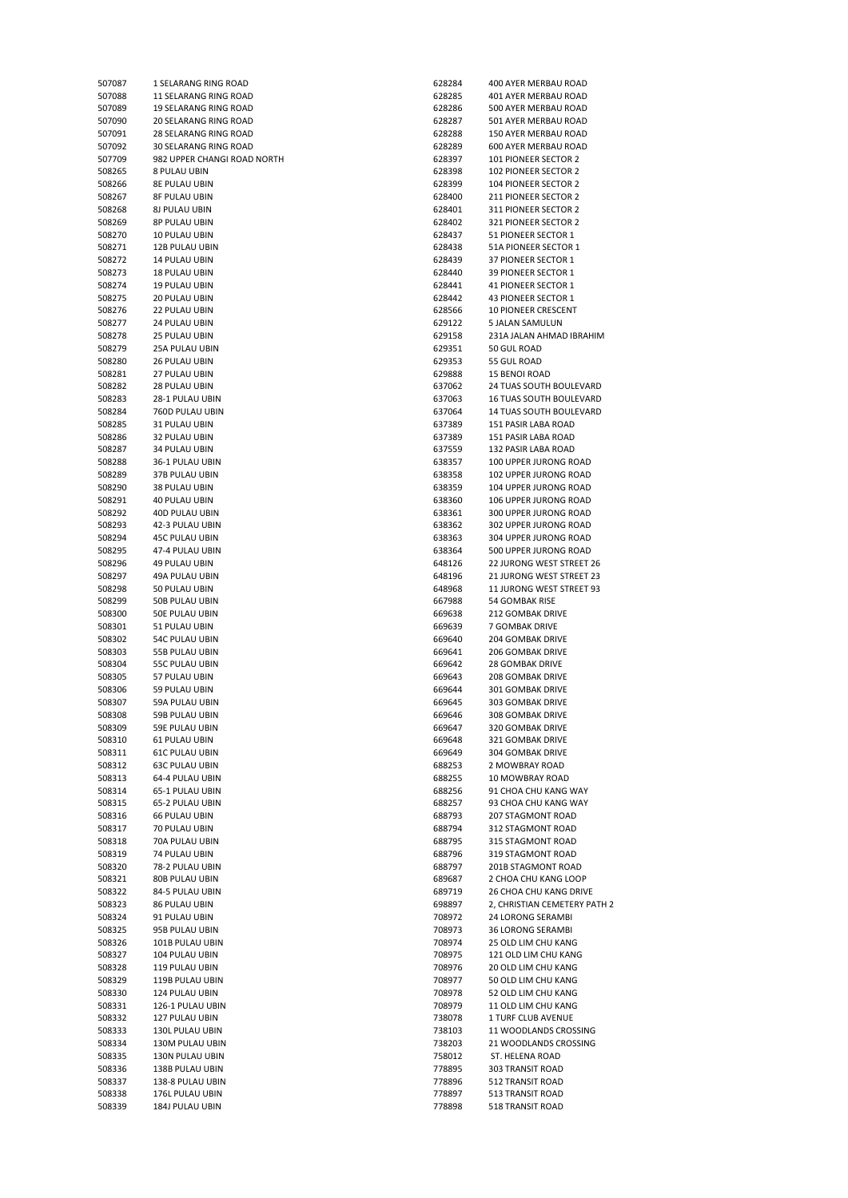| 507087           | 1 SELARANG RING ROAD                    | 628284 | 400 AYER MERBAU ROAD                         |
|------------------|-----------------------------------------|--------|----------------------------------------------|
| 507088           | 11 SELARANG RING ROAD                   | 628285 | 401 AYER MERBAU ROAD                         |
| 507089           | 19 SELARANG RING ROAD                   | 628286 | 500 AYER MERBAU ROAD                         |
| 507090           | 20 SELARANG RING ROAD                   | 628287 | 501 AYER MERBAU ROAD                         |
| 507091           | <b>28 SELARANG RING ROAD</b>            | 628288 | 150 AYER MERBAU ROAD                         |
| 507092           | 30 SELARANG RING ROAD                   | 628289 | 600 AYER MERBAU ROAD                         |
| 507709           | 982 UPPER CHANGI ROAD NORTH             | 628397 | 101 PIONEER SECTOR 2                         |
| 508265           | 8 PULAU UBIN                            | 628398 | <b>102 PIONEER SECTOR 2</b>                  |
| 508266           | <b>8E PULAU UBIN</b>                    | 628399 | <b>104 PIONEER SECTOR 2</b>                  |
| 508267           | <b>8F PULAU UBIN</b>                    | 628400 | 211 PIONEER SECTOR 2                         |
| 508268           | 8J PULAU UBIN                           | 628401 | 311 PIONEER SECTOR 2                         |
| 508269           | 8P PULAU UBIN                           | 628402 | 321 PIONEER SECTOR 2                         |
| 508270           | 10 PULAU UBIN                           | 628437 | 51 PIONEER SECTOR 1                          |
| 508271           | 12B PULAU UBIN                          | 628438 | 51A PIONEER SECTOR 1                         |
| 508272           | 14 PULAU UBIN                           | 628439 | 37 PIONEER SECTOR 1                          |
| 508273           | <b>18 PULAU UBIN</b>                    | 628440 | 39 PIONEER SECTOR 1                          |
| 508274           | <b>19 PULAU UBIN</b>                    | 628441 | 41 PIONEER SECTOR 1                          |
| 508275           | 20 PULAU UBIN                           | 628442 | 43 PIONEER SECTOR 1                          |
| 508276           | <b>22 PULAU UBIN</b>                    | 628566 | <b>10 PIONEER CRESCENT</b>                   |
| 508277           | <b>24 PULAU UBIN</b>                    | 629122 | 5 JALAN SAMULUN                              |
| 508278           | <b>25 PULAU UBIN</b>                    | 629158 | 231A JALAN AHMAD IBRAH                       |
| 508279           | 25A PULAU UBIN                          | 629351 | 50 GUL ROAD                                  |
| 508280           | <b>26 PULAU UBIN</b>                    | 629353 | 55 GUL ROAD                                  |
| 508281           | 27 PULAU UBIN                           | 629888 | 15 BENOI ROAD                                |
| 508282           | <b>28 PULAU UBIN</b>                    | 637062 | 24 TUAS SOUTH BOULEVAI                       |
| 508283           | 28-1 PULAU UBIN                         | 637063 | 16 TUAS SOUTH BOULEVAI                       |
| 508284           | 760D PULAU UBIN                         | 637064 | <b>14 TUAS SOUTH BOULEVAI</b>                |
| 508285           | 31 PULAU UBIN                           | 637389 | 151 PASIR LABA ROAD                          |
| 508286           | 32 PULAU UBIN                           | 637389 | 151 PASIR LABA ROAD                          |
| 508287           | 34 PULAU UBIN                           | 637559 | 132 PASIR LABA ROAD                          |
| 508288           | 36-1 PULAU UBIN                         | 638357 | 100 UPPER JURONG ROAD                        |
| 508289           | 37B PULAU UBIN                          | 638358 | 102 UPPER JURONG ROAD                        |
| 508290           | 38 PULAU UBIN                           | 638359 | 104 UPPER JURONG ROAD                        |
| 508291           | <b>40 PULAU UBIN</b>                    | 638360 | 106 UPPER JURONG ROAD                        |
| 508292           | 40D PULAU UBIN                          | 638361 | 300 UPPER JURONG ROAD                        |
| 508293           | 42-3 PULAU UBIN                         | 638362 | 302 UPPER JURONG ROAD                        |
| 508294           | <b>45C PULAU UBIN</b>                   | 638363 | 304 UPPER JURONG ROAD                        |
| 508295           | 47-4 PULAU UBIN                         | 638364 | 500 UPPER JURONG ROAD                        |
| 508296           | <b>49 PULAU UBIN</b>                    | 648126 | 22 JURONG WEST STREET :                      |
| 508297           | 49A PULAU UBIN                          | 648196 | 21 JURONG WEST STREET :                      |
| 508298           | 50 PULAU UBIN                           | 648968 | 11 JURONG WEST STREET!                       |
| 508299           | 50B PULAU UBIN                          | 667988 | 54 GOMBAK RISE                               |
| 508300           | 50E PULAU UBIN                          | 669638 | <b>212 GOMBAK DRIVE</b>                      |
| 508301           | 51 PULAU UBIN                           | 669639 | 7 GOMBAK DRIVE                               |
| 508302           | <b>54C PULAU UBIN</b>                   | 669640 | 204 GOMBAK DRIVE                             |
| 508303           | 55B PULAU UBIN                          | 669641 | <b>206 GOMBAK DRIVE</b>                      |
| 508304           | 55C PULAU UBIN                          | 669642 | <b>28 GOMBAK DRIVE</b>                       |
|                  | 57 PULAU UBIN                           | 669643 | <b>208 GOMBAK DRIVE</b>                      |
| 508305<br>508306 | 59 PULAU UBIN                           | 669644 | 301 GOMBAK DRIVE                             |
|                  |                                         | 669645 |                                              |
| 508307<br>508308 | 59A PULAU UBIN                          | 669646 | 303 GOMBAK DRIVE                             |
|                  | 59B PULAU UBIN                          |        | 308 GOMBAK DRIVE                             |
| 508309           | 59E PULAU UBIN                          | 669647 | 320 GOMBAK DRIVE                             |
| 508310           | <b>61 PULAU UBIN</b>                    | 669648 | 321 GOMBAK DRIVE                             |
| 508311           | <b>61C PULAU UBIN</b>                   | 669649 | 304 GOMBAK DRIVE                             |
| 508312           | <b>63C PULAU UBIN</b>                   | 688253 | 2 MOWBRAY ROAD                               |
| 508313           | 64-4 PULAU UBIN                         | 688255 | 10 MOWBRAY ROAD                              |
| 508314           | 65-1 PULAU UBIN                         | 688256 | 91 CHOA CHU KANG WAY<br>93 CHOA CHU KANG WAY |
| 508315           | 65-2 PULAU UBIN<br><b>66 PULAU UBIN</b> | 688257 |                                              |
| 508316           |                                         | 688793 | 207 STAGMONT ROAD                            |
| 508317           | 70 PULAU UBIN                           | 688794 | 312 STAGMONT ROAD                            |
| 508318           | 70A PULAU UBIN                          | 688795 | 315 STAGMONT ROAD                            |
| 508319           | 74 PULAU UBIN                           | 688796 | 319 STAGMONT ROAD                            |
| 508320           | 78-2 PULAU UBIN                         | 688797 | 201B STAGMONT ROAD                           |
| 508321           | 80B PULAU UBIN                          | 689687 | 2 CHOA CHU KANG LOOP                         |
| 508322           | 84-5 PULAU UBIN                         | 689719 | 26 CHOA CHU KANG DRIVE                       |
| 508323           | 86 PULAU UBIN                           | 698897 | 2, CHRISTIAN CEMETERY P.                     |
| 508324           | 91 PULAU UBIN                           | 708972 | 24 LORONG SERAMBI                            |
| 508325           | 95B PULAU UBIN                          | 708973 | 36 LORONG SERAMBI                            |
| 508326           | 101B PULAU UBIN                         | 708974 | 25 OLD LIM CHU KANG                          |
| 508327           | 104 PULAU UBIN                          | 708975 | 121 OLD LIM CHU KANG                         |
| 508328           | 119 PULAU UBIN                          | 708976 | 20 OLD LIM CHU KANG                          |
| 508329           | 119B PULAU UBIN                         | 708977 | 50 OLD LIM CHU KANG                          |
| 508330           | 124 PULAU UBIN                          | 708978 | 52 OLD LIM CHU KANG                          |
| 508331           | 126-1 PULAU UBIN                        | 708979 | 11 OLD LIM CHU KANG                          |
| 508332           | 127 PULAU UBIN                          | 738078 | 1 TURF CLUB AVENUE                           |
| 508333           | 130L PULAU UBIN                         | 738103 | 11 WOODLANDS CROSSING                        |
| 508334           | 130M PULAU UBIN                         | 738203 | 21 WOODLANDS CROSSING                        |
| 508335           | 130N PULAU UBIN                         | 758012 | ST. HELENA ROAD                              |
| 508336           | 138B PULAU UBIN                         | 778895 | 303 TRANSIT ROAD                             |
| 508337           | 138-8 PULAU UBIN                        | 778896 | 512 TRANSIT ROAD                             |
| 508338           | 176L PULAU UBIN                         | 778897 | 513 TRANSIT ROAD                             |
| 508339           | 184J PULAU UBIN                         | 778898 | 518 TRANSIT ROAD                             |

| 507087 | 1 SELARANG RING ROAD         | 628284 | 400 AYER MERBAU ROAD         |
|--------|------------------------------|--------|------------------------------|
| 507088 | 11 SELARANG RING ROAD        | 628285 | 401 AYER MERBAU ROAD         |
| 507089 | 19 SELARANG RING ROAD        | 628286 | 500 AYER MERBAU ROAD         |
| 507090 | 20 SELARANG RING ROAD        | 628287 | 501 AYER MERBAU ROAD         |
| 507091 | <b>28 SELARANG RING ROAD</b> | 628288 | 150 AYER MERBAU ROAD         |
| 507092 | 30 SELARANG RING ROAD        | 628289 | 600 AYER MERBAU ROAD         |
| 507709 | 982 UPPER CHANGI ROAD NORTH  | 628397 | <b>101 PIONEER SECTOR 2</b>  |
|        |                              |        |                              |
| 508265 | 8 PULAU UBIN                 | 628398 | <b>102 PIONEER SECTOR 2</b>  |
| 508266 | <b>8E PULAU UBIN</b>         | 628399 | 104 PIONEER SECTOR 2         |
| 508267 | <b>8F PULAU UBIN</b>         | 628400 | 211 PIONEER SECTOR 2         |
| 508268 | <b>8J PULAU UBIN</b>         | 628401 | 311 PIONEER SECTOR 2         |
| 508269 | 8P PULAU UBIN                | 628402 | 321 PIONEER SECTOR 2         |
| 508270 | 10 PULAU UBIN                | 628437 | 51 PIONEER SECTOR 1          |
| 508271 | 12B PULAU UBIN               | 628438 | 51A PIONEER SECTOR 1         |
|        |                              |        |                              |
| 508272 | 14 PULAU UBIN                | 628439 | 37 PIONEER SECTOR 1          |
| 508273 | 18 PULAU UBIN                | 628440 | 39 PIONEER SECTOR 1          |
| 508274 | <b>19 PULAU UBIN</b>         | 628441 | 41 PIONEER SECTOR 1          |
| 508275 | 20 PULAU UBIN                | 628442 | 43 PIONEER SECTOR 1          |
| 508276 | <b>22 PULAU UBIN</b>         | 628566 | <b>10 PIONEER CRESCENT</b>   |
| 508277 | 24 PULAU UBIN                | 629122 | 5 JALAN SAMULUN              |
| 508278 | 25 PULAU UBIN                | 629158 | 231A JALAN AHMAD IBRAHIM     |
| 508279 | 25A PULAU UBIN               | 629351 | 50 GUL ROAD                  |
|        |                              |        |                              |
| 508280 | 26 PULAU UBIN                | 629353 | 55 GUL ROAD                  |
| 508281 | 27 PULAU UBIN                | 629888 | <b>15 BENOI ROAD</b>         |
| 508282 | 28 PULAU UBIN                | 637062 | 24 TUAS SOUTH BOULEVARD      |
| 508283 | 28-1 PULAU UBIN              | 637063 | 16 TUAS SOUTH BOULEVARD      |
| 508284 | 760D PULAU UBIN              | 637064 | 14 TUAS SOUTH BOULEVARD      |
| 508285 | 31 PULAU UBIN                | 637389 | 151 PASIR LABA ROAD          |
| 508286 | 32 PULAU UBIN                | 637389 | 151 PASIR LABA ROAD          |
|        |                              |        |                              |
| 508287 | 34 PULAU UBIN                | 637559 | 132 PASIR LABA ROAD          |
| 508288 | 36-1 PULAU UBIN              | 638357 | 100 UPPER JURONG ROAD        |
| 508289 | 37B PULAU UBIN               | 638358 | 102 UPPER JURONG ROAD        |
| 508290 | 38 PULAU UBIN                | 638359 | 104 UPPER JURONG ROAD        |
| 508291 | <b>40 PULAU UBIN</b>         | 638360 | 106 UPPER JURONG ROAD        |
| 508292 | 40D PULAU UBIN               | 638361 | 300 UPPER JURONG ROAD        |
| 508293 | 42-3 PULAU UBIN              | 638362 | 302 UPPER JURONG ROAD        |
|        |                              |        |                              |
| 508294 | <b>45C PULAU UBIN</b>        | 638363 | 304 UPPER JURONG ROAD        |
| 508295 | 47-4 PULAU UBIN              | 638364 | 500 UPPER JURONG ROAD        |
| 508296 | <b>49 PULAU UBIN</b>         | 648126 | 22 JURONG WEST STREET 26     |
| 508297 | 49A PULAU UBIN               | 648196 | 21 JURONG WEST STREET 23     |
| 508298 | 50 PULAU UBIN                | 648968 | 11 JURONG WEST STREET 93     |
| 508299 | 50B PULAU UBIN               | 667988 | 54 GOMBAK RISE               |
| 508300 | 50E PULAU UBIN               | 669638 | 212 GOMBAK DRIVE             |
|        |                              |        |                              |
| 508301 | 51 PULAU UBIN                | 669639 | 7 GOMBAK DRIVE               |
| 508302 | <b>54C PULAU UBIN</b>        | 669640 | <b>204 GOMBAK DRIVE</b>      |
| 508303 | 55B PULAU UBIN               | 669641 | <b>206 GOMBAK DRIVE</b>      |
| 508304 | <b>55C PULAU UBIN</b>        | 669642 | 28 GOMBAK DRIVE              |
| 508305 | 57 PULAU UBIN                | 669643 | <b>208 GOMBAK DRIVE</b>      |
| 508306 | 59 PULAU UBIN                | 669644 | 301 GOMBAK DRIVE             |
| 508307 | 59A PULAU UBIN               | 669645 | 303 GOMBAK DRIVE             |
| 508308 | 59B PULAU UBIN               | 669646 | <b>308 GOMBAK DRIVE</b>      |
|        |                              |        |                              |
| 508309 | 59E PULAU UBIN               | 669647 | 320 GOMBAK DRIVE             |
| 508310 | <b>61 PULAU UBIN</b>         | 669648 | 321 GOMBAK DRIVE             |
| 508311 | <b>61C PULAU UBIN</b>        | 669649 | 304 GOMBAK DRIVE             |
| 508312 | <b>63C PULAU UBIN</b>        | 688253 | 2 MOWBRAY ROAD               |
| 508313 | 64-4 PULAU UBIN              | 688255 | 10 MOWBRAY ROAD              |
| 508314 | 65-1 PULAU UBIN              | 688256 | 91 CHOA CHU KANG WAY         |
|        |                              |        |                              |
| 508315 | 65-2 PULAU UBIN              | 688257 | 93 CHOA CHU KANG WAY         |
| 508316 | <b>66 PULAU UBIN</b>         | 688793 | 207 STAGMONT ROAD            |
| 508317 | 70 PULAU UBIN                | 688794 | 312 STAGMONT ROAD            |
| 508318 | 70A PULAU UBIN               | 688795 | 315 STAGMONT ROAD            |
| 508319 | 74 PULAU UBIN                | 688796 | 319 STAGMONT ROAD            |
| 508320 | 78-2 PULAU UBIN              | 688797 | 201B STAGMONT ROAD           |
| 508321 | 80B PULAU UBIN               | 689687 | 2 CHOA CHU KANG LOOP         |
| 508322 | 84-5 PULAU UBIN              | 689719 | 26 CHOA CHU KANG DRIVE       |
|        |                              |        |                              |
| 508323 | 86 PULAU UBIN                | 698897 | 2, CHRISTIAN CEMETERY PATH 2 |
| 508324 | 91 PULAU UBIN                | 708972 | 24 LORONG SERAMBI            |
| 508325 | 95B PULAU UBIN               | 708973 | 36 LORONG SERAMBI            |
| 508326 | 101B PULAU UBIN              | 708974 | 25 OLD LIM CHU KANG          |
| 508327 | 104 PULAU UBIN               | 708975 | 121 OLD LIM CHU KANG         |
| 508328 | 119 PULAU UBIN               | 708976 | 20 OLD LIM CHU KANG          |
| 508329 | 119B PULAU UBIN              | 708977 | 50 OLD LIM CHU KANG          |
|        |                              |        |                              |
| 508330 | 124 PULAU UBIN               | 708978 | 52 OLD LIM CHU KANG          |
| 508331 | 126-1 PULAU UBIN             | 708979 | 11 OLD LIM CHU KANG          |
| 508332 | 127 PULAU UBIN               | 738078 | 1 TURF CLUB AVENUE           |
| 508333 | 130L PULAU UBIN              | 738103 | 11 WOODLANDS CROSSING        |
| 508334 | 130M PULAU UBIN              | 738203 | 21 WOODLANDS CROSSING        |
| 508335 | 130N PULAU UBIN              | 758012 | ST. HELENA ROAD              |
|        |                              |        |                              |
| 508336 | 138B PULAU UBIN              | 778895 | 303 TRANSIT ROAD             |
| 508337 | 138-8 PULAU UBIN             | 778896 | 512 TRANSIT ROAD             |
| 508338 | 176L PULAU UBIN              | 778897 | 513 TRANSIT ROAD             |
| 508339 | 184J PULAU UBIN              | 778898 | 518 TRANSIT ROAD             |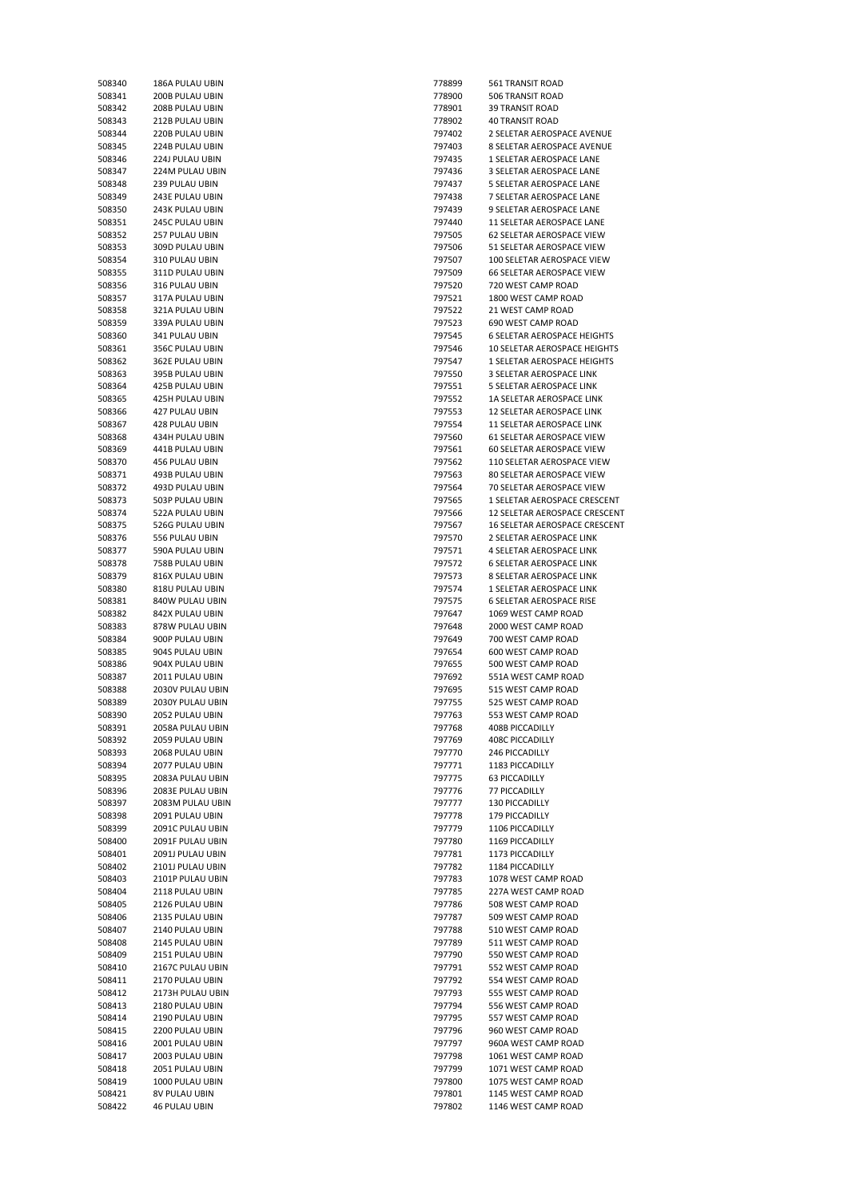| 508340 | 186A PULAU UBIN        | 778899 | 561 TRANSIT ROAD             |
|--------|------------------------|--------|------------------------------|
| 508341 | 200B PULAU UBIN        | 778900 | 506 TRANSIT ROAD             |
| 508342 | 208B PULAU UBIN        | 778901 | <b>39 TRANSIT ROAD</b>       |
| 508343 | 212B PULAU UBIN        | 778902 | <b>40 TRANSIT ROAD</b>       |
| 508344 | 220B PULAU UBIN        | 797402 | 2 SELETAR AEROSPACE A        |
| 508345 |                        | 797403 | 8 SELETAR AEROSPACE A        |
|        | 224B PULAU UBIN        |        |                              |
| 508346 | 224J PULAU UBIN        | 797435 | 1 SELETAR AEROSPACE L        |
| 508347 | 224M PULAU UBIN        | 797436 | 3 SELETAR AEROSPACE L        |
| 508348 | 239 PULAU UBIN         | 797437 | 5 SELETAR AEROSPACE L        |
| 508349 | 243E PULAU UBIN        | 797438 | 7 SELETAR AEROSPACE L        |
| 508350 | 243K PULAU UBIN        | 797439 | 9 SELETAR AEROSPACE L        |
| 508351 | 245C PULAU UBIN        | 797440 | 11 SELETAR AEROSPACE         |
| 508352 | 257 PULAU UBIN         | 797505 | <b>62 SELETAR AEROSPACE</b>  |
| 508353 | 309D PULAU UBIN        | 797506 | 51 SELETAR AEROSPACE         |
| 508354 | 310 PULAU UBIN         | 797507 | 100 SELETAR AEROSPACI        |
| 508355 | 311D PULAU UBIN        | 797509 | <b>66 SELETAR AEROSPACE</b>  |
| 508356 |                        |        |                              |
|        | 316 PULAU UBIN         | 797520 | 720 WEST CAMP ROAD           |
| 508357 | 317A PULAU UBIN        | 797521 | 1800 WEST CAMP ROAD          |
| 508358 | 321A PULAU UBIN        | 797522 | 21 WEST CAMP ROAD            |
| 508359 | 339A PULAU UBIN        | 797523 | 690 WEST CAMP ROAD           |
| 508360 | 341 PULAU UBIN         | 797545 | <b>6 SELETAR AEROSPACE H</b> |
| 508361 | 356C PULAU UBIN        | 797546 | 10 SELETAR AEROSPACE         |
| 508362 | 362E PULAU UBIN        | 797547 | 1 SELETAR AEROSPACE H        |
| 508363 | 395B PULAU UBIN        | 797550 | 3 SELETAR AEROSPACE L        |
| 508364 | 425B PULAU UBIN        | 797551 | 5 SELETAR AEROSPACE L        |
| 508365 | <b>425H PULAU UBIN</b> | 797552 | <b>1A SELETAR AEROSPACE</b>  |
| 508366 | 427 PULAU UBIN         | 797553 | <b>12 SELETAR AEROSPACE</b>  |
|        |                        |        |                              |
| 508367 | 428 PULAU UBIN         | 797554 | <b>11 SELETAR AEROSPACE</b>  |
| 508368 | 434H PULAU UBIN        | 797560 | <b>61 SELETAR AEROSPACE</b>  |
| 508369 | 441B PULAU UBIN        | 797561 | <b>60 SELETAR AEROSPACE</b>  |
| 508370 | 456 PULAU UBIN         | 797562 | 110 SELETAR AEROSPACI        |
| 508371 | 493B PULAU UBIN        | 797563 | 80 SELETAR AEROSPACE         |
| 508372 | 493D PULAU UBIN        | 797564 | 70 SELETAR AEROSPACE         |
| 508373 | 503P PULAU UBIN        | 797565 | 1 SELETAR AEROSPACE C        |
| 508374 | 522A PULAU UBIN        | 797566 | 12 SELETAR AEROSPACE         |
| 508375 | 526G PULAU UBIN        | 797567 | 16 SELETAR AEROSPACE         |
| 508376 | 556 PULAU UBIN         | 797570 | 2 SELETAR AEROSPACE L        |
|        |                        |        |                              |
| 508377 | 590A PULAU UBIN        | 797571 | 4 SELETAR AEROSPACE L        |
| 508378 | 758B PULAU UBIN        | 797572 | <b>6 SELETAR AEROSPACE L</b> |
| 508379 | 816X PULAU UBIN        | 797573 | 8 SELETAR AEROSPACE L        |
| 508380 | 818U PULAU UBIN        | 797574 | 1 SELETAR AEROSPACE L        |
| 508381 | 840W PULAU UBIN        | 797575 | <b>6 SELETAR AEROSPACE R</b> |
| 508382 | 842X PULAU UBIN        | 797647 | 1069 WEST CAMP ROAD          |
| 508383 | 878W PULAU UBIN        | 797648 | 2000 WEST CAMP ROAD          |
| 508384 | 900P PULAU UBIN        | 797649 | 700 WEST CAMP ROAD           |
| 508385 | 904S PULAU UBIN        | 797654 | 600 WEST CAMP ROAD           |
| 508386 | 904X PULAU UBIN        | 797655 | 500 WEST CAMP ROAD           |
| 508387 | 2011 PULAU UBIN        | 797692 | 551A WEST CAMP ROAD          |
|        |                        |        |                              |
| 508388 | 2030V PULAU UBIN       | 797695 | 515 WEST CAMP ROAD           |
| 508389 | 2030Y PULAU UBIN       | 797755 | 525 WEST CAMP ROAD           |
| 508390 | 2052 PULAU UBIN        | 797763 | 553 WEST CAMP ROAD           |
| 508391 | 2058A PULAU UBIN       | 797768 | 408B PICCADILLY              |
| 508392 | 2059 PULAU UBIN        | 797769 | <b>408C PICCADILLY</b>       |
| 508393 | 2068 PULAU UBIN        | 797770 | 246 PICCADILLY               |
| 508394 | 2077 PULAU UBIN        | 797771 | 1183 PICCADILLY              |
| 508395 | 2083A PULAU UBIN       | 797775 | 63 PICCADILLY                |
| 508396 | 2083E PULAU UBIN       | 797776 | 77 PICCADILLY                |
| 508397 | 2083M PULAU UBIN       | 797777 | 130 PICCADILLY               |
|        |                        |        |                              |
| 508398 | 2091 PULAU UBIN        | 797778 | 179 PICCADILLY               |
| 508399 | 2091C PULAU UBIN       | 797779 | 1106 PICCADILLY              |
| 508400 | 2091F PULAU UBIN       | 797780 | 1169 PICCADILLY              |
| 508401 | 2091J PULAU UBIN       | 797781 | 1173 PICCADILLY              |
| 508402 | 2101J PULAU UBIN       | 797782 | 1184 PICCADILLY              |
| 508403 | 2101P PULAU UBIN       | 797783 | 1078 WEST CAMP ROAD          |
| 508404 | 2118 PULAU UBIN        | 797785 | 227A WEST CAMP ROAD          |
| 508405 | 2126 PULAU UBIN        | 797786 | 508 WEST CAMP ROAD           |
| 508406 | 2135 PULAU UBIN        | 797787 | 509 WEST CAMP ROAD           |
| 508407 | 2140 PULAU UBIN        | 797788 | 510 WEST CAMP ROAD           |
| 508408 | 2145 PULAU UBIN        | 797789 | 511 WEST CAMP ROAD           |
|        |                        |        | 550 WEST CAMP ROAD           |
| 508409 | 2151 PULAU UBIN        | 797790 |                              |
| 508410 | 2167C PULAU UBIN       | 797791 | 552 WEST CAMP ROAD           |
| 508411 | 2170 PULAU UBIN        | 797792 | 554 WEST CAMP ROAD           |
| 508412 | 2173H PULAU UBIN       | 797793 | 555 WEST CAMP ROAD           |
| 508413 | 2180 PULAU UBIN        | 797794 | 556 WEST CAMP ROAD           |
| 508414 | 2190 PULAU UBIN        | 797795 | 557 WEST CAMP ROAD           |
| 508415 | 2200 PULAU UBIN        | 797796 | 960 WEST CAMP ROAD           |
| 508416 | 2001 PULAU UBIN        | 797797 | 960A WEST CAMP ROAD          |
| 508417 | 2003 PULAU UBIN        | 797798 | 1061 WEST CAMP ROAD          |
| 508418 | 2051 PULAU UBIN        | 797799 | 1071 WEST CAMP ROAD          |
| 508419 | 1000 PULAU UBIN        | 797800 | 1075 WEST CAMP ROAD          |
| 508421 | 8V PULAU UBIN          | 797801 | 1145 WEST CAMP ROAD          |
|        |                        |        |                              |
| 508422 | <b>46 PULAU UBIN</b>   | 797802 | 1146 WEST CAMP ROAD          |

| 508340 | <b>180A PULAU UBIN</b> | 778899 | <b>SBL IRANSII RUAD</b>            |
|--------|------------------------|--------|------------------------------------|
| 508341 | 200B PULAU UBIN        | 778900 | 506 TRANSIT ROAD                   |
| 508342 | 208B PULAU UBIN        | 778901 | <b>39 TRANSIT ROAD</b>             |
| 508343 | 212B PULAU UBIN        | 778902 | <b>40 TRANSIT ROAD</b>             |
|        |                        |        |                                    |
| 508344 | 220B PULAU UBIN        | 797402 | 2 SELETAR AEROSPACE AVENUE         |
| 508345 | 224B PULAU UBIN        | 797403 | 8 SELETAR AEROSPACE AVENUE         |
| 508346 | 224J PULAU UBIN        | 797435 | 1 SELETAR AEROSPACE LANE           |
| 508347 | 224M PULAU UBIN        | 797436 | 3 SELETAR AEROSPACE LANE           |
| 508348 | 239 PULAU UBIN         | 797437 | 5 SELETAR AEROSPACE LANE           |
|        |                        |        |                                    |
| 508349 | 243E PULAU UBIN        | 797438 | 7 SELETAR AEROSPACE LANE           |
| 508350 | 243K PULAU UBIN        | 797439 | 9 SELETAR AEROSPACE LANE           |
| 508351 | 245C PULAU UBIN        | 797440 | 11 SELETAR AEROSPACE LANE          |
| 508352 | 257 PULAU UBIN         | 797505 | 62 SELETAR AEROSPACE VIEW          |
|        |                        |        |                                    |
| 508353 | 309D PULAU UBIN        | 797506 | 51 SELETAR AEROSPACE VIEW          |
| 508354 | 310 PULAU UBIN         | 797507 | 100 SELETAR AEROSPACE VIEW         |
| 508355 | 311D PULAU UBIN        | 797509 | 66 SELETAR AEROSPACE VIEW          |
| 508356 | 316 PULAU UBIN         | 797520 | 720 WEST CAMP ROAD                 |
| 508357 | 317A PULAU UBIN        | 797521 | 1800 WEST CAMP ROAD                |
|        |                        |        |                                    |
| 508358 | 321A PULAU UBIN        | 797522 | 21 WEST CAMP ROAD                  |
| 508359 | 339A PULAU UBIN        | 797523 | 690 WEST CAMP ROAD                 |
| 508360 | 341 PULAU UBIN         | 797545 | <b>6 SELETAR AEROSPACE HEIGHTS</b> |
| 508361 | 356C PULAU UBIN        | 797546 | 10 SELETAR AEROSPACE HEIGHTS       |
| 508362 | 362E PULAU UBIN        | 797547 | 1 SELETAR AEROSPACE HEIGHTS        |
|        |                        |        |                                    |
| 508363 | 395B PULAU UBIN        | 797550 | 3 SELETAR AEROSPACE LINK           |
| 508364 | 425B PULAU UBIN        | 797551 | 5 SELETAR AEROSPACE LINK           |
| 508365 | 425H PULAU UBIN        | 797552 | 1A SELETAR AEROSPACE LINK          |
| 508366 | 427 PULAU UBIN         | 797553 | 12 SELETAR AEROSPACE LINK          |
|        |                        |        |                                    |
| 508367 | 428 PULAU UBIN         | 797554 | 11 SELETAR AEROSPACE LINK          |
| 508368 | 434H PULAU UBIN        | 797560 | 61 SELETAR AEROSPACE VIEW          |
| 508369 | 441B PULAU UBIN        | 797561 | 60 SELETAR AEROSPACE VIEW          |
| 508370 | 456 PULAU UBIN         | 797562 | 110 SELETAR AEROSPACE VIEW         |
| 508371 | 493B PULAU UBIN        | 797563 | 80 SELETAR AEROSPACE VIEW          |
|        |                        |        |                                    |
| 508372 | 493D PULAU UBIN        | 797564 | 70 SELETAR AEROSPACE VIEW          |
| 508373 | 503P PULAU UBIN        | 797565 | 1 SELETAR AEROSPACE CRESCENT       |
| 508374 | 522A PULAU UBIN        | 797566 | 12 SELETAR AEROSPACE CRESCENT      |
| 508375 | 526G PULAU UBIN        | 797567 | 16 SELETAR AEROSPACE CRESCENT      |
|        |                        |        |                                    |
| 508376 | 556 PULAU UBIN         | 797570 | 2 SELETAR AEROSPACE LINK           |
| 508377 | 590A PULAU UBIN        | 797571 | 4 SELETAR AEROSPACE LINK           |
| 508378 | 758B PULAU UBIN        | 797572 | <b>6 SELETAR AEROSPACE LINK</b>    |
| 508379 | 816X PULAU UBIN        | 797573 | 8 SELETAR AEROSPACE LINK           |
| 508380 | 818U PULAU UBIN        | 797574 | 1 SELETAR AEROSPACE LINK           |
|        |                        |        |                                    |
| 508381 | 840W PULAU UBIN        | 797575 | <b>6 SELETAR AEROSPACE RISE</b>    |
| 508382 | 842X PULAU UBIN        | 797647 | 1069 WEST CAMP ROAD                |
| 508383 | 878W PULAU UBIN        | 797648 | 2000 WEST CAMP ROAD                |
| 508384 | 900P PULAU UBIN        | 797649 | 700 WEST CAMP ROAD                 |
| 508385 | 904S PULAU UBIN        | 797654 | 600 WEST CAMP ROAD                 |
|        |                        |        |                                    |
| 508386 | 904X PULAU UBIN        | 797655 | 500 WEST CAMP ROAD                 |
| 508387 | 2011 PULAU UBIN        | 797692 | 551A WEST CAMP ROAD                |
| 508388 | 2030V PULAU UBIN       | 797695 | 515 WEST CAMP ROAD                 |
| 508389 | 2030Y PULAU UBIN       | 797755 | 525 WEST CAMP ROAD                 |
| 508390 | 2052 PULAU UBIN        | 797763 | 553 WEST CAMP ROAD                 |
|        |                        |        |                                    |
| 508391 | 2058A PULAU UBIN       | 797768 | 408B PICCADILLY                    |
| 508392 | 2059 PULAU UBIN        | 797769 | <b>408C PICCADILLY</b>             |
| 508393 | 2068 PULAU UBIN        | 797770 | 246 PICCADILLY                     |
| 508394 | 2077 PULAU UBIN        | 797771 | 1183 PICCADILLY                    |
| 508395 |                        | 797775 | <b>63 PICCADILLY</b>               |
|        | 2083A PULAU UBIN       |        |                                    |
| 508396 | 2083E PULAU UBIN       | 797776 | 77 PICCADILLY                      |
| 508397 | 2083M PULAU UBIN       | 797777 | 130 PICCADILLY                     |
| 508398 | 2091 PULAU UBIN        | 797778 | 179 PICCADILLY                     |
| 508399 | 2091C PULAU UBIN       | 797779 | 1106 PICCADILLY                    |
|        |                        |        |                                    |
| 508400 | 2091F PULAU UBIN       | 797780 | 1169 PICCADILLY                    |
| 508401 | 2091J PULAU UBIN       | 797781 | 1173 PICCADILLY                    |
| 508402 | 2101J PULAU UBIN       | 797782 | 1184 PICCADILLY                    |
| 508403 | 2101P PULAU UBIN       | 797783 | 1078 WEST CAMP ROAD                |
| 508404 | 2118 PULAU UBIN        | 797785 | 227A WEST CAMP ROAD                |
|        | 2126 PULAU UBIN        |        | 508 WEST CAMP ROAD                 |
| 508405 |                        | 797786 |                                    |
| 508406 | 2135 PULAU UBIN        | 797787 | 509 WEST CAMP ROAD                 |
| 508407 | 2140 PULAU UBIN        | 797788 | 510 WEST CAMP ROAD                 |
| 508408 | 2145 PULAU UBIN        | 797789 | 511 WEST CAMP ROAD                 |
| 508409 | 2151 PULAU UBIN        | 797790 | 550 WEST CAMP ROAD                 |
|        |                        |        |                                    |
| 508410 | 2167C PULAU UBIN       | 797791 | 552 WEST CAMP ROAD                 |
| 508411 | 2170 PULAU UBIN        | 797792 | 554 WEST CAMP ROAD                 |
| 508412 | 2173H PULAU UBIN       | 797793 | 555 WEST CAMP ROAD                 |
| 508413 | 2180 PULAU UBIN        | 797794 | 556 WEST CAMP ROAD                 |
| 508414 | 2190 PULAU UBIN        | 797795 | 557 WEST CAMP ROAD                 |
|        |                        |        |                                    |
| 508415 | 2200 PULAU UBIN        | 797796 | 960 WEST CAMP ROAD                 |
| 508416 | 2001 PULAU UBIN        | 797797 | 960A WEST CAMP ROAD                |
| 508417 | 2003 PULAU UBIN        | 797798 | 1061 WEST CAMP ROAD                |
| 508418 | 2051 PULAU UBIN        | 797799 | 1071 WEST CAMP ROAD                |
| 508419 | 1000 PULAU UBIN        | 797800 | 1075 WEST CAMP ROAD                |
|        |                        |        |                                    |
| 508421 | <b>8V PULAU UBIN</b>   | 797801 | 1145 WEST CAMP ROAD                |
| 508422 | 46 PHI ALL LIRIN       | 797802 | 1146 WEST CAMP ROAD                |